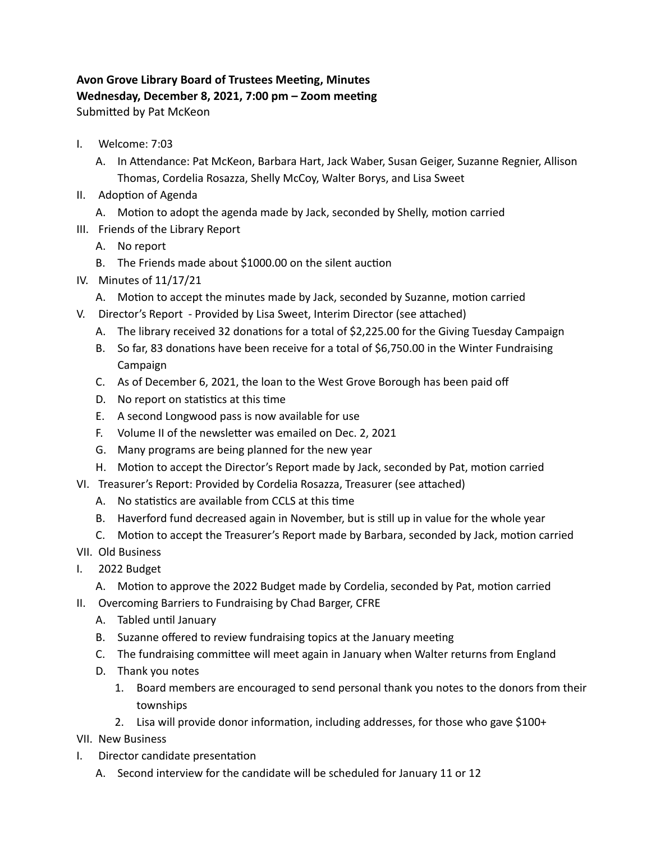## **Avon Grove Library Board of Trustees Meeting, Minutes Wednesday, December 8, 2021, 7:00 pm – Zoom meeting** Submitted by Pat McKeon

- I. Welcome: 7:03
	- A. In Attendance: Pat McKeon, Barbara Hart, Jack Waber, Susan Geiger, Suzanne Regnier, Allison Thomas, Cordelia Rosazza, Shelly McCoy, Walter Borys, and Lisa Sweet
- II. Adoption of Agenda
	- A. Motion to adopt the agenda made by Jack, seconded by Shelly, motion carried
- III. Friends of the Library Report
	- A. No report
	- B. The Friends made about \$1000.00 on the silent auction
- IV. Minutes of 11/17/21
	- A. Motion to accept the minutes made by Jack, seconded by Suzanne, motion carried
- V. Director's Report Provided by Lisa Sweet, Interim Director (see attached)
	- A. The library received 32 donations for a total of \$2,225.00 for the Giving Tuesday Campaign
	- B. So far, 83 donations have been receive for a total of \$6,750.00 in the Winter Fundraising Campaign
	- C. As of December 6, 2021, the loan to the West Grove Borough has been paid off
	- D. No report on statistics at this time
	- E. A second Longwood pass is now available for use
	- F. Volume II of the newsletter was emailed on Dec. 2, 2021
	- G. Many programs are being planned for the new year
	- H. Motion to accept the Director's Report made by Jack, seconded by Pat, motion carried
- VI. Treasurer's Report: Provided by Cordelia Rosazza, Treasurer (see attached)
	- A. No statistics are available from CCLS at this time
	- B. Haverford fund decreased again in November, but is still up in value for the whole year
	- C. Motion to accept the Treasurer's Report made by Barbara, seconded by Jack, motion carried
- VII. Old Business
- I. 2022 Budget
	- A. Motion to approve the 2022 Budget made by Cordelia, seconded by Pat, motion carried
- II. Overcoming Barriers to Fundraising by Chad Barger, CFRE
	- A. Tabled until January
	- B. Suzanne offered to review fundraising topics at the January meeting
	- C. The fundraising committee will meet again in January when Walter returns from England
	- D. Thank you notes
		- 1. Board members are encouraged to send personal thank you notes to the donors from their townships
		- 2. Lisa will provide donor information, including addresses, for those who gave \$100+
- VII. New Business
- I. Director candidate presentation
	- A. Second interview for the candidate will be scheduled for January 11 or 12